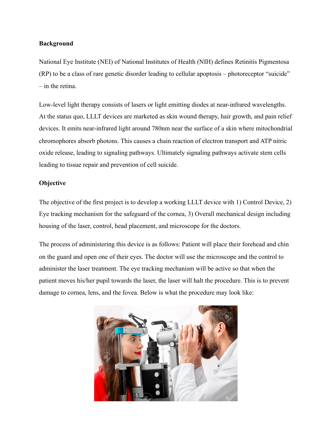## **Background**

National Eye Institute (NEI) of National Institutes of Health (NIH) defines Retinitis Pigmentosa (RP) to be a class of rare genetic disorder leading to cellular apoptosis – photoreceptor "suicide" – in the retina.

Low-level light therapy consists of lasers or light emitting diodes at near-infrared wavelengths. At the status quo, LLLT devices are marketed as skin wound therapy, hair growth, and pain relief devices. It emits near-infrared light around 780nm near the surface of a skin where mitochondrial chromophores absorb photons. This causes a chain reaction of electron transport and ATP nitric oxide release, leading to signaling pathways. Ultimately signaling pathways activate stem cells leading to tissue repair and prevention of cell suicide.

## **Objective**

The objective of the first project is to develop a working LLLT device with 1) Control Device, 2) Eye tracking mechanism for the safeguard of the cornea, 3) Overall mechanical design including housing of the laser, control, head placement, and microscope for the doctors.

The process of administering this device is as follows: Patient will place their forehead and chin on the guard and open one of their eyes. The doctor will use the microscope and the control to administer the laser treatment. The eye tracking mechanism will be active so that when the patient moves his/her pupil towards the laser, the laser will halt the procedure. This is to prevent damage to cornea, lens, and the fovea. Below is what the procedure may look like: